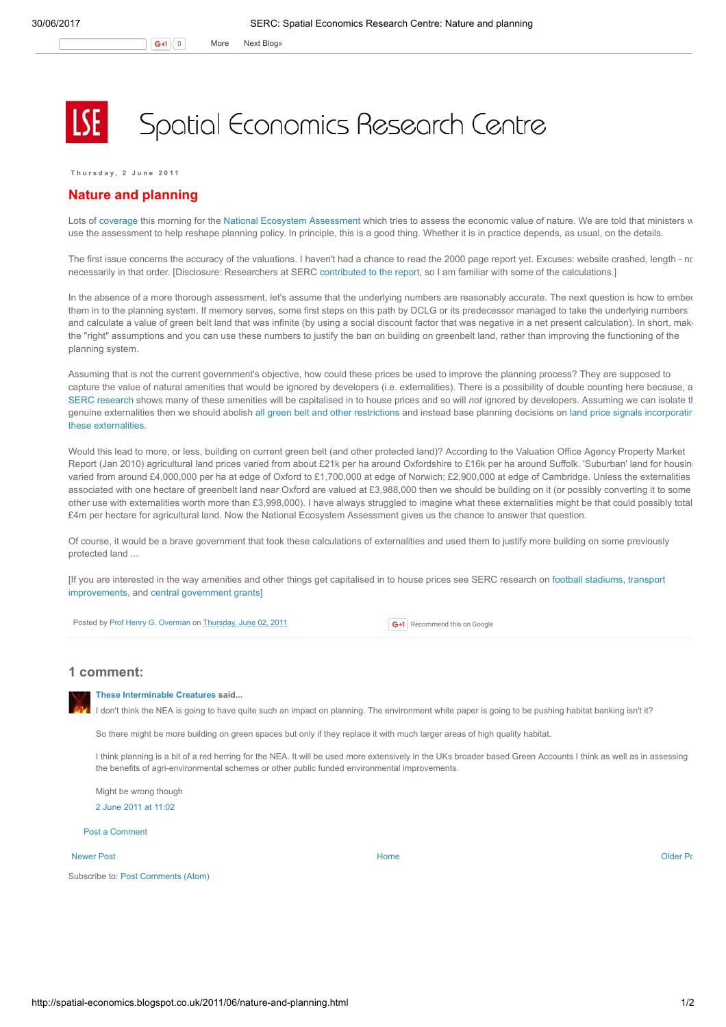## Spatial Economics Research Centre

Thursday, 2 June 2011

## Nature and planning

Lots of [coverage](http://www.bbc.co.uk/news/science-environment-13616543) this morning for the National Ecosystem [Assessment](http://www.bbc.co.uk/go/news/science-environment-13616543/ext/story-body/uknea.unep-wcmc.org/-/http://uknea.unep-wcmc.org/) which tries to assess the economic value of nature. We are told that ministers w use the assessment to help reshape planning policy. In principle, this is a good thing. Whether it is in practice depends, as usual, on the details.

The first issue concerns the accuracy of the valuations. I haven't had a chance to read the 2000 page report yet. Excuses: website crashed, length - no necessarily in that order. [Disclosure: Researchers at SERC [contributed](http://www.spatialeconomics.ac.uk/textonly/SERC/publications/download/sercdp0074.pdf) to the report, so I am familiar with some of the calculations.]

In the absence of a more thorough assessment, let's assume that the underlying numbers are reasonably accurate. The next question is how to embed them in to the planning system. If memory serves, some first steps on this path by DCLG or its predecessor managed to take the underlying numbers and calculate a value of green belt land that was infinite (by using a social discount factor that was negative in a net present calculation). In short, make the "right" assumptions and you can use these numbers to justify the ban on building on greenbelt land, rather than improving the functioning of the planning system.

Assuming that is not the current government's objective, how could these prices be used to improve the planning process? They are supposed to capture the value of natural amenities that would be ignored by developers (i.e. externalities). There is a possibility of double counting here because, a SERC [research](http://www.spatialeconomics.ac.uk/textonly/SERC/publications/download/sercdp0074.pdf) shows many of these amenities will be capitalised in to house prices and so will not ignored by developers. Assuming we can isolate the genuine externalities then we should abolish all green belt and other [restrictions](http://spatial-economics.blogspot.com/2011/04/where-to-build.html) and instead base planning decisions on land price signals incorporatir these [externalities.](http://www.spatialeconomics.ac.uk/textonly/SERC/publications/download/sercpp004.pdf)

Would this lead to more, or less, building on current green belt (and other protected land)? According to the Valuation Office Agency Property Market Report (Jan 2010) agricultural land prices varied from about £21k per ha around Oxfordshire to £16k per ha around Suffolk. 'Suburban' land for housin varied from around £4,000,000 per ha at edge of Oxford to £1,700,000 at edge of Norwich; £2,900,000 at edge of Cambridge. Unless the externalities associated with one hectare of greenbelt land near Oxford are valued at £3,988,000 then we should be building on it (or possibly converting it to some other use with externalities worth more than £3,998,000). I have always struggled to imagine what these externalities might be that could possibly total £4m per hectare for agricultural land. Now the National Ecosystem Assessment gives us the chance to answer that question.

Of course, it would be a brave government that took these calculations of externalities and used them to justify more building on some previously protected land ...

[If you are interested in the way amenities and other things get capitalised in to house prices see SERC research on football [stadiums](http://spatial-economics.blogspot.com/2011/05/football-stadiums.html), transport [improvements,](http://www.spatialeconomics.ac.uk/textonly/SERC/publications/download/sercdp0075.pdf) and central [government](http://www.spatialeconomics.ac.uk/textonly/SERC/publications/download/sercdp0057.pdf) grants]

Posted by Prof Henry G. [Overman](https://www.blogger.com/profile/15203876610491317062) on [Thursday,](http://spatial-economics.blogspot.co.uk/2011/06/nature-and-planning.html) June 02, 2011

**G+1** Recommend this on Google

## 1 comment:



These [Interminable](https://www.blogger.com/profile/06261712408872389137) Creatures said...

I don't think the NEA is going to have quite such an impact on planning. The environment white paper is going to be pushing habitat banking isn't it?

So there might be more building on green spaces but only if they replace it with much larger areas of high quality habitat.

I think planning is a bit of a red herring for the NEA. It will be used more extensively in the UKs broader based Green Accounts I think as well as in assessing the benefits of agri-environmental schemes or other public funded environmental improvements.

Might be wrong though 2 June 2011 at [11:02](http://spatial-economics.blogspot.com/2011/06/nature-and-planning.html?showComment=1307008960058#c1872792287006584851)

Post a [Comment](https://www.blogger.com/comment.g?blogID=974562301377041914&postID=906944418728140327)

## [Newer](http://spatial-economics.blogspot.co.uk/2011/06/on-origins-of-land-use-regulations_03.html) Post **New Accounts Accounts Accounts Accounts** [Home](http://spatial-economics.blogspot.co.uk/) **Home** Accounts Accounts Accounts [Older](http://spatial-economics.blogspot.co.uk/2011/06/high-speed-2-latest-opinion-poll.html) Post of the Older Po

Subscribe to: Post [Comments](http://spatial-economics.blogspot.com/feeds/906944418728140327/comments/default) (Atom)